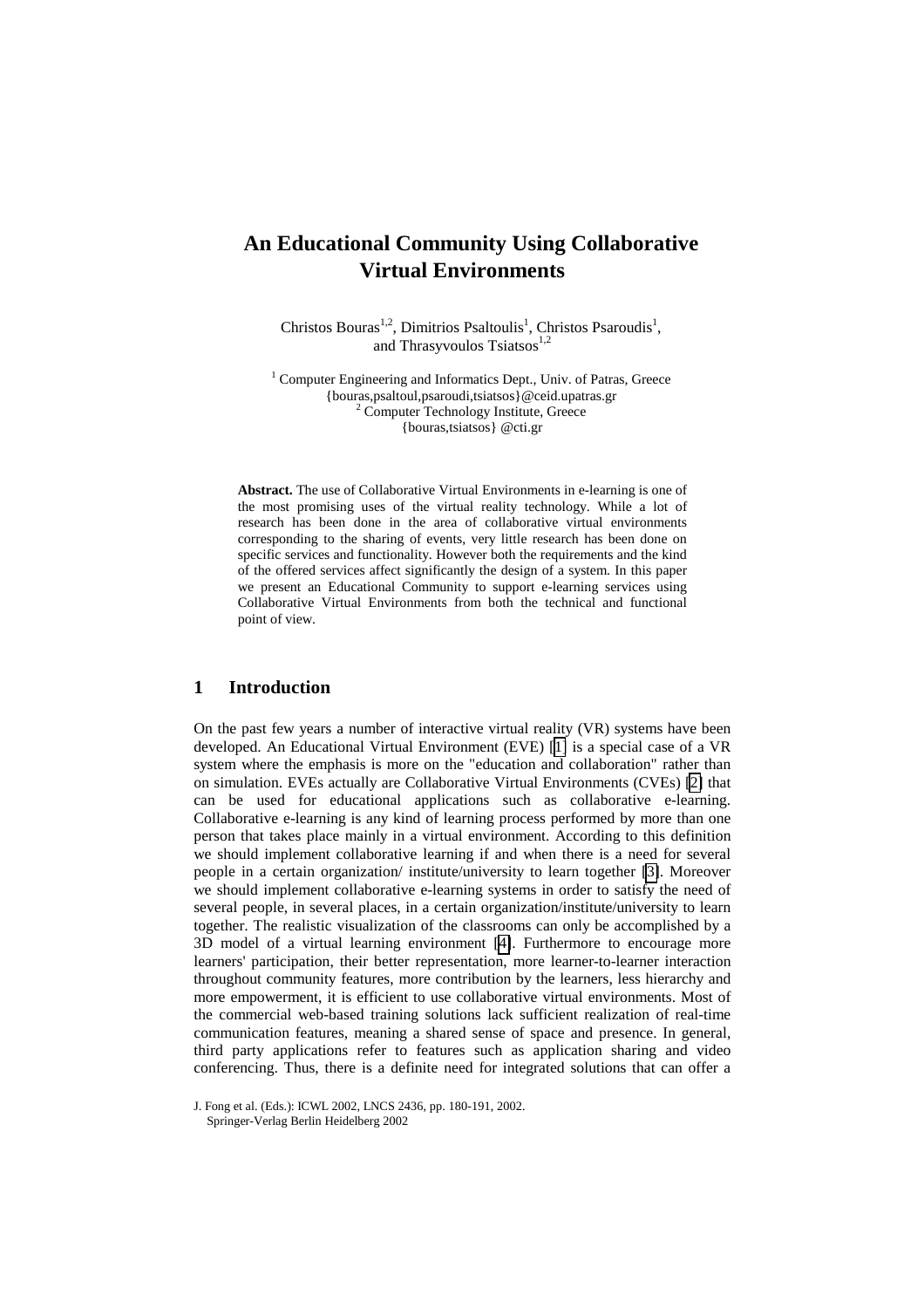# **An Educational Community Using Collaborative Virtual Environments**

Christos Bouras<sup>1,2</sup>, Dimitrios Psaltoulis<sup>1</sup>, Christos Psaroudis<sup>1</sup>, and Thrasyvoulos Tsiatsos $^{1,2}$ 

<sup>1</sup> Computer Engineering and Informatics Dept., Univ. of Patras, Greece {bouras,psaltoul,psaroudi,tsiatsos}@ceid.upatras.gr 2  $2$  Computer Technology Institute, Greece {bouras,tsiatsos} @cti.gr

**Abstract.** The use of Collaborative Virtual Environments in e-learning is one of the most promising uses of the virtual reality technology. While a lot of research has been done in the area of collaborative virtual environments corresponding to the sharing of events, very little research has been done on specific services and functionality. However both the requirements and the kind of the offered services affect significantly the design of a system. In this paper we present an Educational Community to support e-learning services using Collaborative Virtual Environments from both the technical and functional point of view.

### **1 Introduction**

On the past few years a number of interactive virtual reality (VR) systems have been developed. An Educational Virtual Environment (EVE) [[1\]](#page-11-0) is a special case of a VR system where the emphasis is more on the "education and collaboration" rather than on simulation. EVEs actually are Collaborative Virtual Environments (CVEs) [\[2\]](#page-11-0) that can be used for educational applications such as collaborative e-learning. Collaborative e-learning is any kind of learning process performed by more than one person that takes place mainly in a virtual environment. According to this definition we should implement collaborative learning if and when there is a need for several people in a certain organization/ institute/university to learn together [\[3\]](#page-11-0). Moreover we should implement collaborative e-learning systems in order to satisfy the need of several people, in several places, in a certain organization/institute/university to learn together. The realistic visualization of the classrooms can only be accomplished by a 3D model of a virtual learning environment [\[4\]](#page-11-0). Furthermore to encourage more learners' participation, their better representation, more learner-to-learner interaction throughout community features, more contribution by the learners, less hierarchy and more empowerment, it is efficient to use collaborative virtual environments. Most of the commercial web-based training solutions lack sufficient realization of real-time communication features, meaning a shared sense of space and presence. In general, third party applications refer to features such as application sharing and video conferencing. Thus, there is a definite need for integrated solutions that can offer a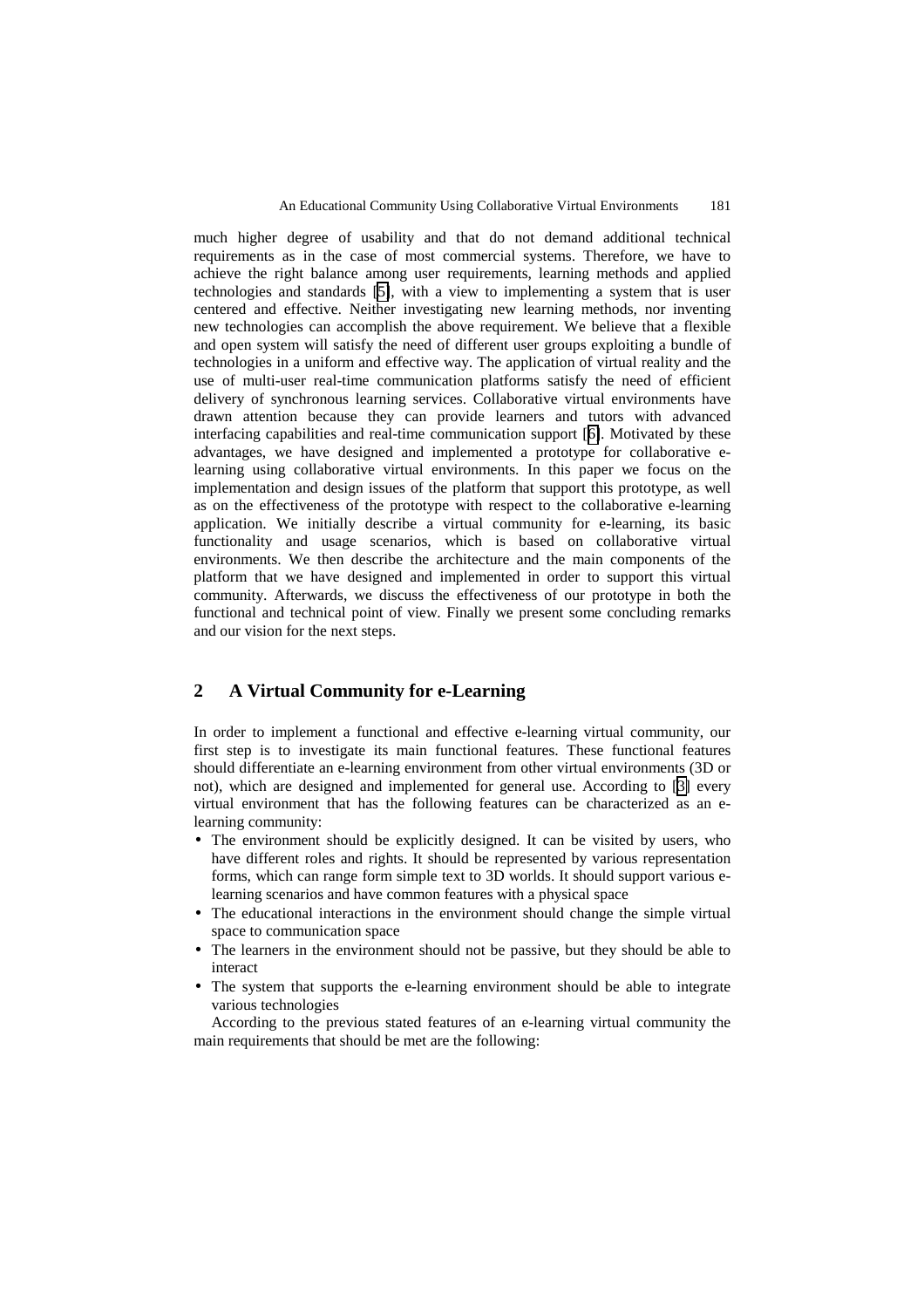much higher degree of usability and that do not demand additional technical requirements as in the case of most commercial systems. Therefore, we have to achieve the right balance among user requirements, learning methods and applied technologies and standards [\[5\]](#page-11-0), with a view to implementing a system that is user centered and effective. Neither investigating new learning methods, nor inventing new technologies can accomplish the above requirement. We believe that a flexible and open system will satisfy the need of different user groups exploiting a bundle of technologies in a uniform and effective way. The application of virtual reality and the use of multi-user real-time communication platforms satisfy the need of efficient delivery of synchronous learning services. Collaborative virtual environments have drawn attention because they can provide learners and tutors with advanced interfacing capabilities and real-time communication support [[6\]](#page-11-0). Motivated by these advantages, we have designed and implemented a prototype for collaborative elearning using collaborative virtual environments. In this paper we focus on the implementation and design issues of the platform that support this prototype, as well as on the effectiveness of the prototype with respect to the collaborative e-learning application. We initially describe a virtual community for e-learning, its basic functionality and usage scenarios, which is based on collaborative virtual environments. We then describe the architecture and the main components of the platform that we have designed and implemented in order to support this virtual community. Afterwards, we discuss the effectiveness of our prototype in both the functional and technical point of view. Finally we present some concluding remarks and our vision for the next steps.

## **2 A Virtual Community for e-Learning**

In order to implement a functional and effective e-learning virtual community, our first step is to investigate its main functional features. These functional features should differentiate an e-learning environment from other virtual environments (3D or not), which are designed and implemented for general use. According to [\[3\]](#page-11-0) every virtual environment that has the following features can be characterized as an elearning community:

- The environment should be explicitly designed. It can be visited by users, who have different roles and rights. It should be represented by various representation forms, which can range form simple text to 3D worlds. It should support various elearning scenarios and have common features with a physical space
- The educational interactions in the environment should change the simple virtual space to communication space
- The learners in the environment should not be passive, but they should be able to interact
- The system that supports the e-learning environment should be able to integrate various technologies

According to the previous stated features of an e-learning virtual community the main requirements that should be met are the following: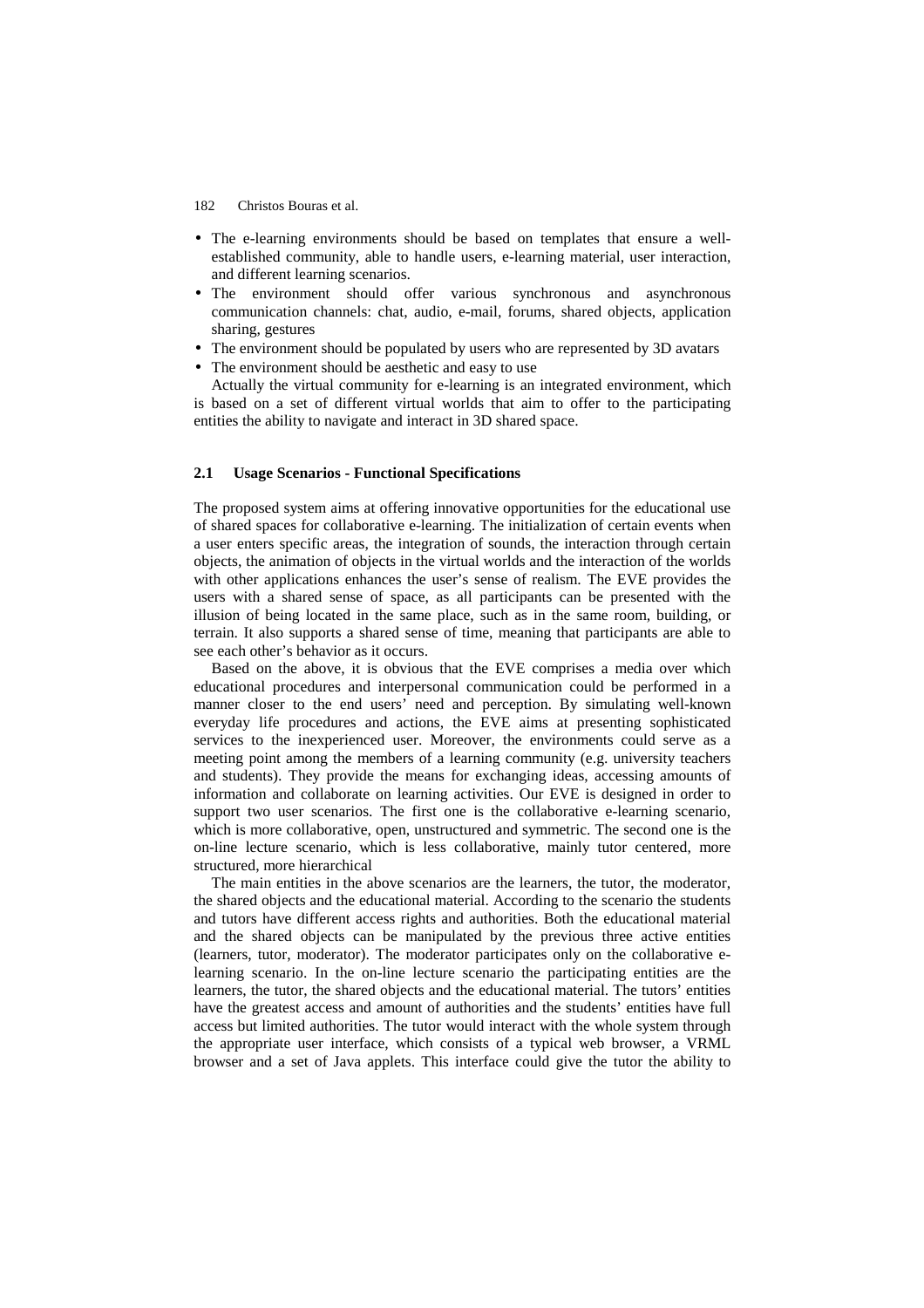- The e-learning environments should be based on templates that ensure a wellestablished community, able to handle users, e-learning material, user interaction, and different learning scenarios.
- The environment should offer various synchronous and asynchronous communication channels: chat, audio, e-mail, forums, shared objects, application sharing, gestures
- The environment should be populated by users who are represented by 3D avatars
- The environment should be aesthetic and easy to use

Actually the virtual community for e-learning is an integrated environment, which is based on a set of different virtual worlds that aim to offer to the participating entities the ability to navigate and interact in 3D shared space.

### **2.1 Usage Scenarios - Functional Specifications**

The proposed system aims at offering innovative opportunities for the educational use of shared spaces for collaborative e-learning. The initialization of certain events when a user enters specific areas, the integration of sounds, the interaction through certain objects, the animation of objects in the virtual worlds and the interaction of the worlds with other applications enhances the user's sense of realism. The EVE provides the users with a shared sense of space, as all participants can be presented with the illusion of being located in the same place, such as in the same room, building, or terrain. It also supports a shared sense of time, meaning that participants are able to see each other's behavior as it occurs.

Based on the above, it is obvious that the EVE comprises a media over which educational procedures and interpersonal communication could be performed in a manner closer to the end users' need and perception. By simulating well-known everyday life procedures and actions, the EVE aims at presenting sophisticated services to the inexperienced user. Moreover, the environments could serve as a meeting point among the members of a learning community (e.g. university teachers and students). They provide the means for exchanging ideas, accessing amounts of information and collaborate on learning activities. Our EVE is designed in order to support two user scenarios. The first one is the collaborative e-learning scenario, which is more collaborative, open, unstructured and symmetric. The second one is the on-line lecture scenario, which is less collaborative, mainly tutor centered, more structured, more hierarchical

The main entities in the above scenarios are the learners, the tutor, the moderator, the shared objects and the educational material. According to the scenario the students and tutors have different access rights and authorities. Both the educational material and the shared objects can be manipulated by the previous three active entities (learners, tutor, moderator). The moderator participates only on the collaborative elearning scenario. In the on-line lecture scenario the participating entities are the learners, the tutor, the shared objects and the educational material. The tutors' entities have the greatest access and amount of authorities and the students' entities have full access but limited authorities. The tutor would interact with the whole system through the appropriate user interface, which consists of a typical web browser, a VRML browser and a set of Java applets. This interface could give the tutor the ability to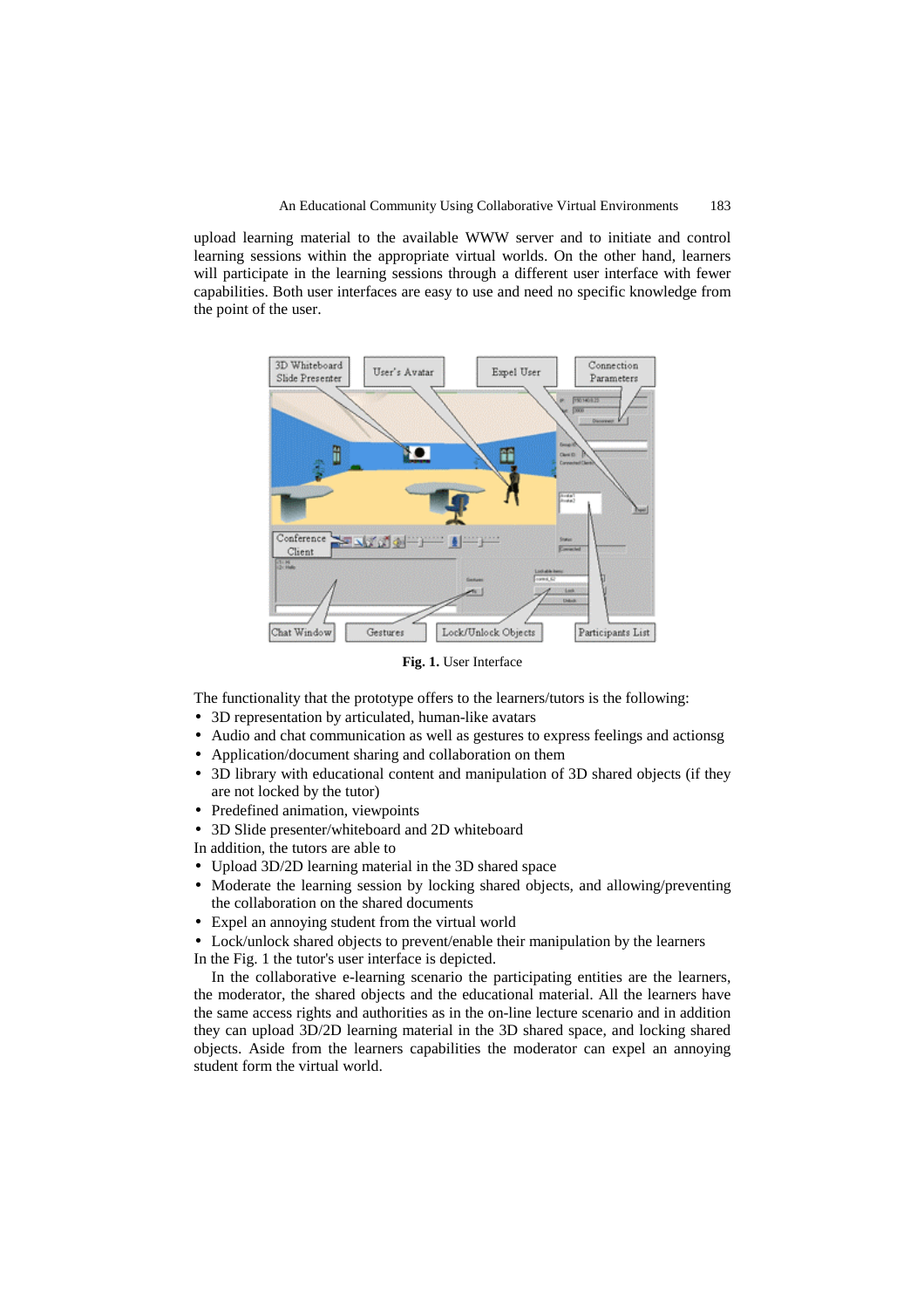upload learning material to the available WWW server and to initiate and control learning sessions within the appropriate virtual worlds. On the other hand, learners will participate in the learning sessions through a different user interface with fewer capabilities. Both user interfaces are easy to use and need no specific knowledge from the point of the user.



**Fig. 1.** User Interface

The functionality that the prototype offers to the learners/tutors is the following:

- 3D representation by articulated, human-like avatars
- Audio and chat communication as well as gestures to express feelings and actionsg
- Application/document sharing and collaboration on them
- 3D library with educational content and manipulation of 3D shared objects (if they are not locked by the tutor)
- Predefined animation, viewpoints
- 3D Slide presenter/whiteboard and 2D whiteboard
- In addition, the tutors are able to
- Upload 3D/2D learning material in the 3D shared space
- Moderate the learning session by locking shared objects, and allowing/preventing the collaboration on the shared documents
- Expel an annoying student from the virtual world
- Lock/unlock shared objects to prevent/enable their manipulation by the learners In the Fig. 1 the tutor's user interface is depicted.

In the collaborative e-learning scenario the participating entities are the learners, the moderator, the shared objects and the educational material. All the learners have the same access rights and authorities as in the on-line lecture scenario and in addition they can upload 3D/2D learning material in the 3D shared space, and locking shared objects. Aside from the learners capabilities the moderator can expel an annoying student form the virtual world.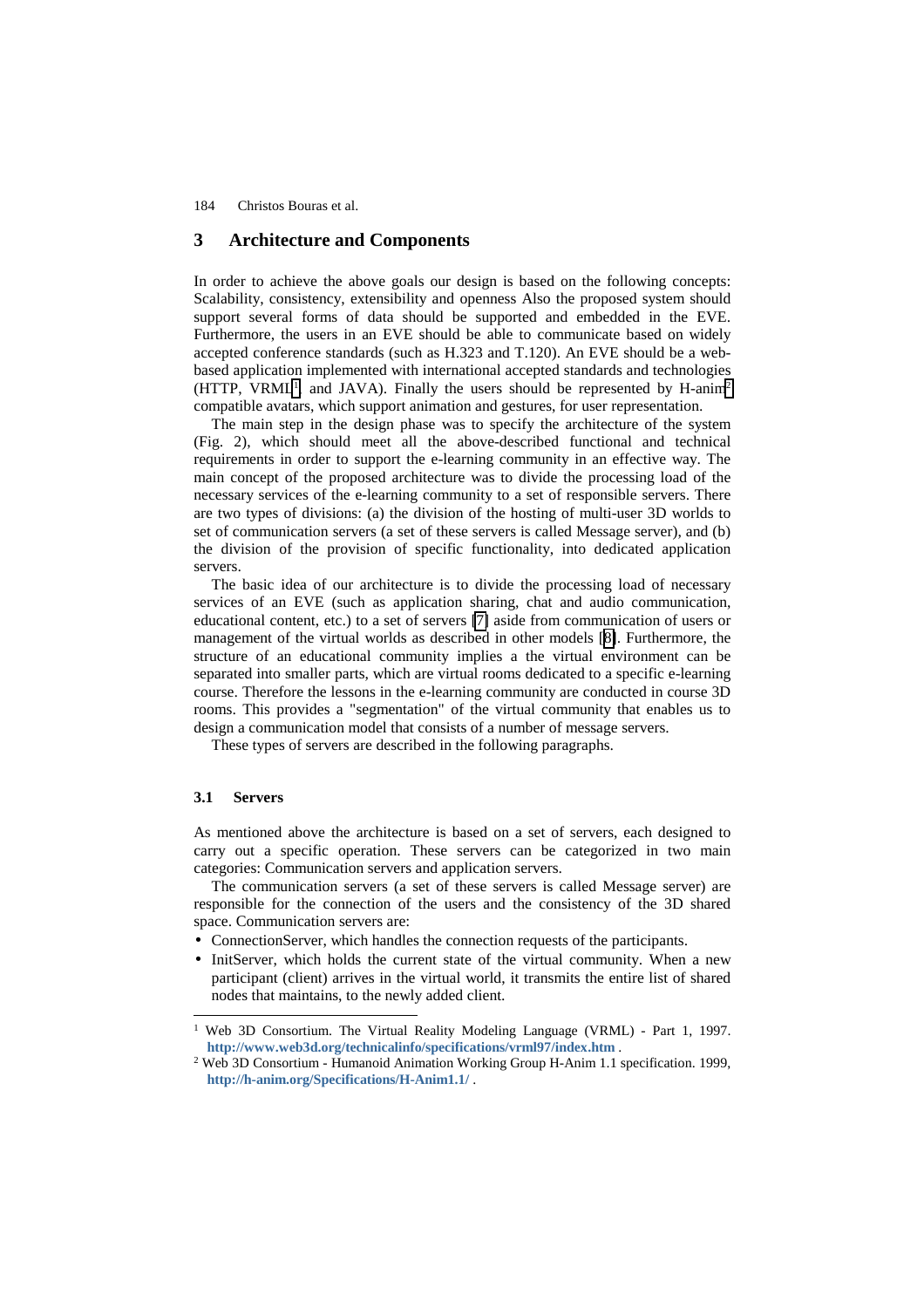### **3 Architecture and Components**

In order to achieve the above goals our design is based on the following concepts: Scalability, consistency, extensibility and openness Also the proposed system should support several forms of data should be supported and embedded in the EVE. Furthermore, the users in an EVE should be able to communicate based on widely accepted conference standards (such as H.323 and T.120). An EVE should be a webbased application implemented with international accepted standards and technologies  $(HTTP, VRML<sup>1</sup>, and JAVA)$ . Finally the users should be represented by H-anim<sup>2</sup> compatible avatars, which support animation and gestures, for user representation.

The main step in the design phase was to specify the architecture of the system (Fig. 2), which should meet all the above-described functional and technical requirements in order to support the e-learning community in an effective way. The main concept of the proposed architecture was to divide the processing load of the necessary services of the e-learning community to a set of responsible servers. There are two types of divisions: (a) the division of the hosting of multi-user 3D worlds to set of communication servers (a set of these servers is called Message server), and (b) the division of the provision of specific functionality, into dedicated application servers.

The basic idea of our architecture is to divide the processing load of necessary services of an EVE (such as application sharing, chat and audio communication, educational content, etc.) to a set of servers [\[7\]](#page-11-0) aside from communication of users or management of the virtual worlds as described in other models [[8\]](#page-11-0). Furthermore, the structure of an educational community implies a the virtual environment can be separated into smaller parts, which are virtual rooms dedicated to a specific e-learning course. Therefore the lessons in the e-learning community are conducted in course 3D rooms. This provides a "segmentation" of the virtual community that enables us to design a communication model that consists of a number of message servers.

These types of servers are described in the following paragraphs.

#### **3.1 Servers**

 $\overline{a}$ 

As mentioned above the architecture is based on a set of servers, each designed to carry out a specific operation. These servers can be categorized in two main categories: Communication servers and application servers.

The communication servers (a set of these servers is called Message server) are responsible for the connection of the users and the consistency of the 3D shared space. Communication servers are:

- ConnectionServer, which handles the connection requests of the participants.
- InitServer, which holds the current state of the virtual community. When a new participant (client) arrives in the virtual world, it transmits the entire list of shared nodes that maintains, to the newly added client.

<sup>&</sup>lt;sup>1</sup> Web 3D Consortium. The Virtual Reality Modeling Language (VRML) - Part 1, 1997.

**http://www.web3d.org/technicalinfo/specifications/vrml97/index.htm** . 2 Web 3D Consortium - Humanoid Animation Working Group H-Anim 1.1 specification. 1999, **http://h-anim.org/Specifications/H-Anim1.1/** .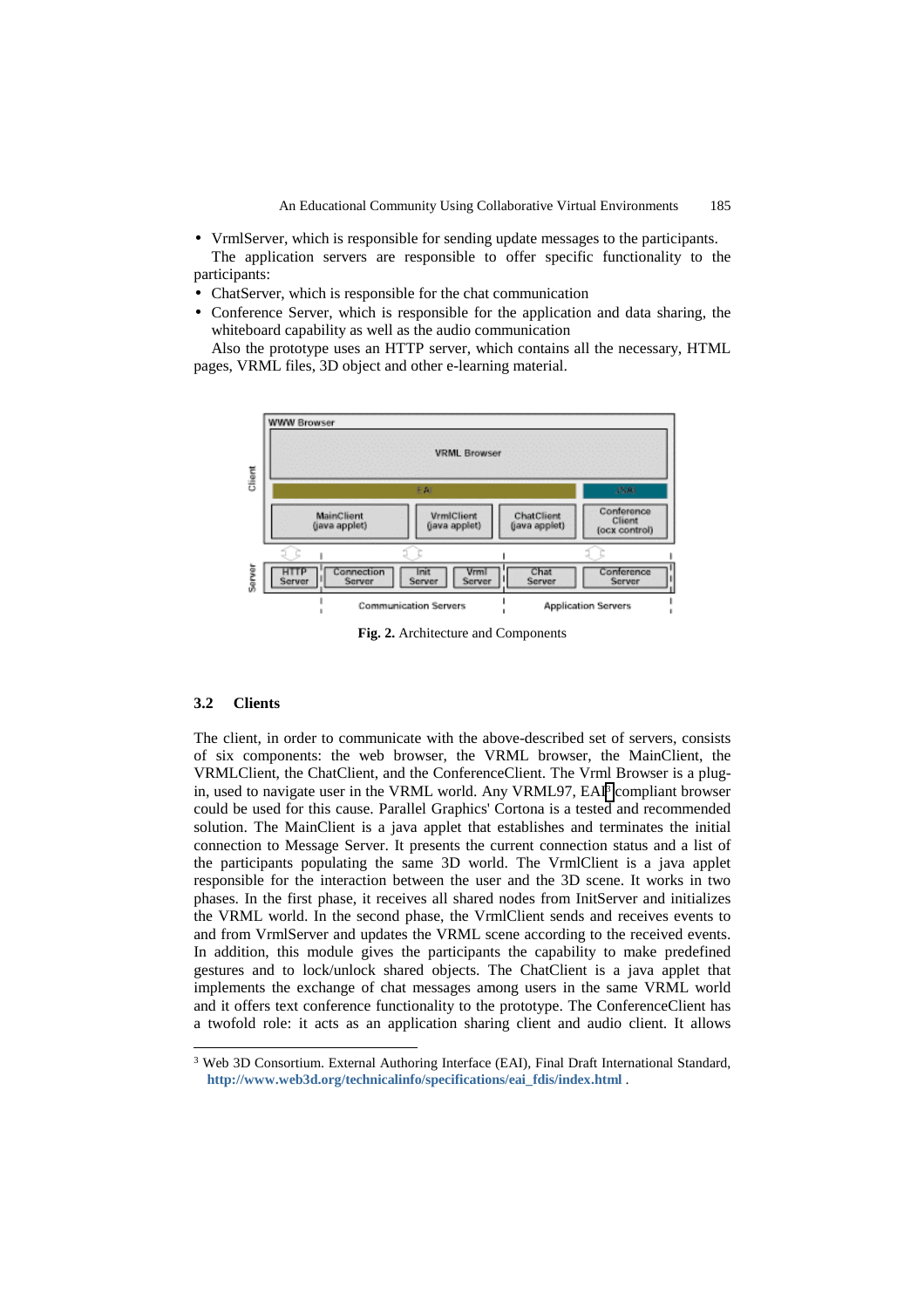- VrmlServer, which is responsible for sending update messages to the participants.
- The application servers are responsible to offer specific functionality to the participants:
- ChatServer, which is responsible for the chat communication
- Conference Server, which is responsible for the application and data sharing, the whiteboard capability as well as the audio communication

Also the prototype uses an HTTP server, which contains all the necessary, HTML pages, VRML files, 3D object and other e-learning material.



**Fig. 2.** Architecture and Components

#### **3.2 Clients**

 $\overline{a}$ 

The client, in order to communicate with the above-described set of servers, consists of six components: the web browser, the VRML browser, the MainClient, the VRMLClient, the ChatClient, and the ConferenceClient. The Vrml Browser is a plugin, used to navigate user in the VRML world. Any VRML97, EAI<sup>3</sup> compliant browser could be used for this cause. Parallel Graphics' Cortona is a tested and recommended solution. The MainClient is a java applet that establishes and terminates the initial connection to Message Server. It presents the current connection status and a list of the participants populating the same 3D world. The VrmlClient is a java applet responsible for the interaction between the user and the 3D scene. It works in two phases. In the first phase, it receives all shared nodes from InitServer and initializes the VRML world. In the second phase, the VrmlClient sends and receives events to and from VrmlServer and updates the VRML scene according to the received events. In addition, this module gives the participants the capability to make predefined gestures and to lock/unlock shared objects. The ChatClient is a java applet that implements the exchange of chat messages among users in the same VRML world and it offers text conference functionality to the prototype. The ConferenceClient has a twofold role: it acts as an application sharing client and audio client. It allows

<sup>&</sup>lt;sup>3</sup> Web 3D Consortium. External Authoring Interface (EAI), Final Draft International Standard, **http://www.web3d.org/technicalinfo/specifications/eai\_fdis/index.html** .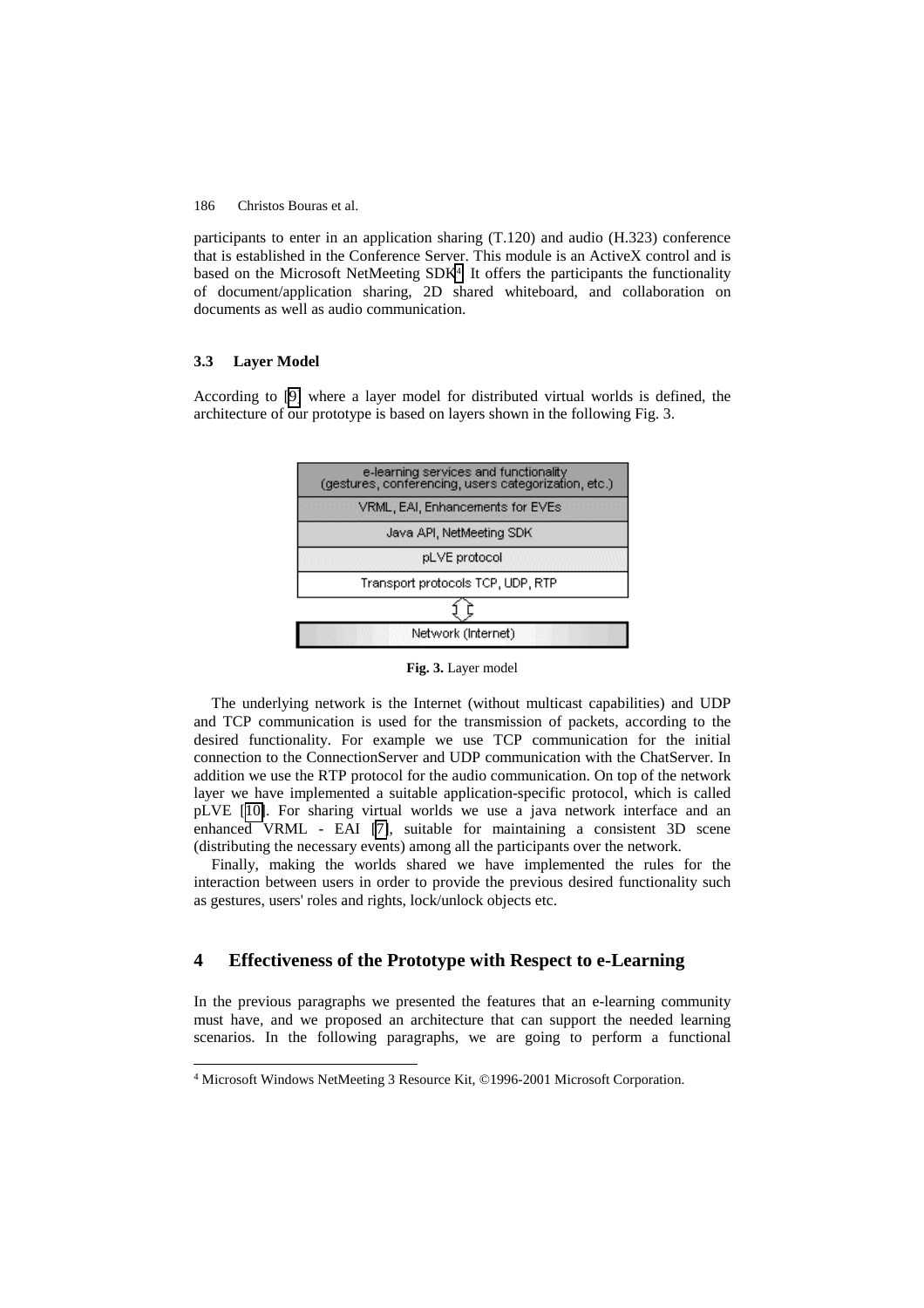participants to enter in an application sharing (T.120) and audio (H.323) conference that is established in the Conference Server. This module is an ActiveX control and is based on the Microsoft NetMeeting  $SDK<sup>4</sup>$ . It offers the participants the functionality of document/application sharing, 2D shared whiteboard, and collaboration on documents as well as audio communication.

#### **3.3 Layer Model**

 $\overline{a}$ 

According to [\[9\]](#page-11-0) where a layer model for distributed virtual worlds is defined, the architecture of our prototype is based on layers shown in the following Fig. 3.



**Fig. 3.** Layer model

The underlying network is the Internet (without multicast capabilities) and UDP and TCP communication is used for the transmission of packets, according to the desired functionality. For example we use TCP communication for the initial connection to the ConnectionServer and UDP communication with the ChatServer. In addition we use the RTP protocol for the audio communication. On top of the network layer we have implemented a suitable application-specific protocol, which is called pLVE [[10\]](#page-11-0). For sharing virtual worlds we use a java network interface and an enhanced VRML - EAI [\[7\]](#page-11-0), suitable for maintaining a consistent 3D scene (distributing the necessary events) among all the participants over the network.

Finally, making the worlds shared we have implemented the rules for the interaction between users in order to provide the previous desired functionality such as gestures, users' roles and rights, lock/unlock objects etc.

## **4 Effectiveness of the Prototype with Respect to e-Learning**

In the previous paragraphs we presented the features that an e-learning community must have, and we proposed an architecture that can support the needed learning scenarios. In the following paragraphs, we are going to perform a functional

<sup>4</sup> Microsoft Windows NetMeeting 3 Resource Kit, ©1996-2001 Microsoft Corporation.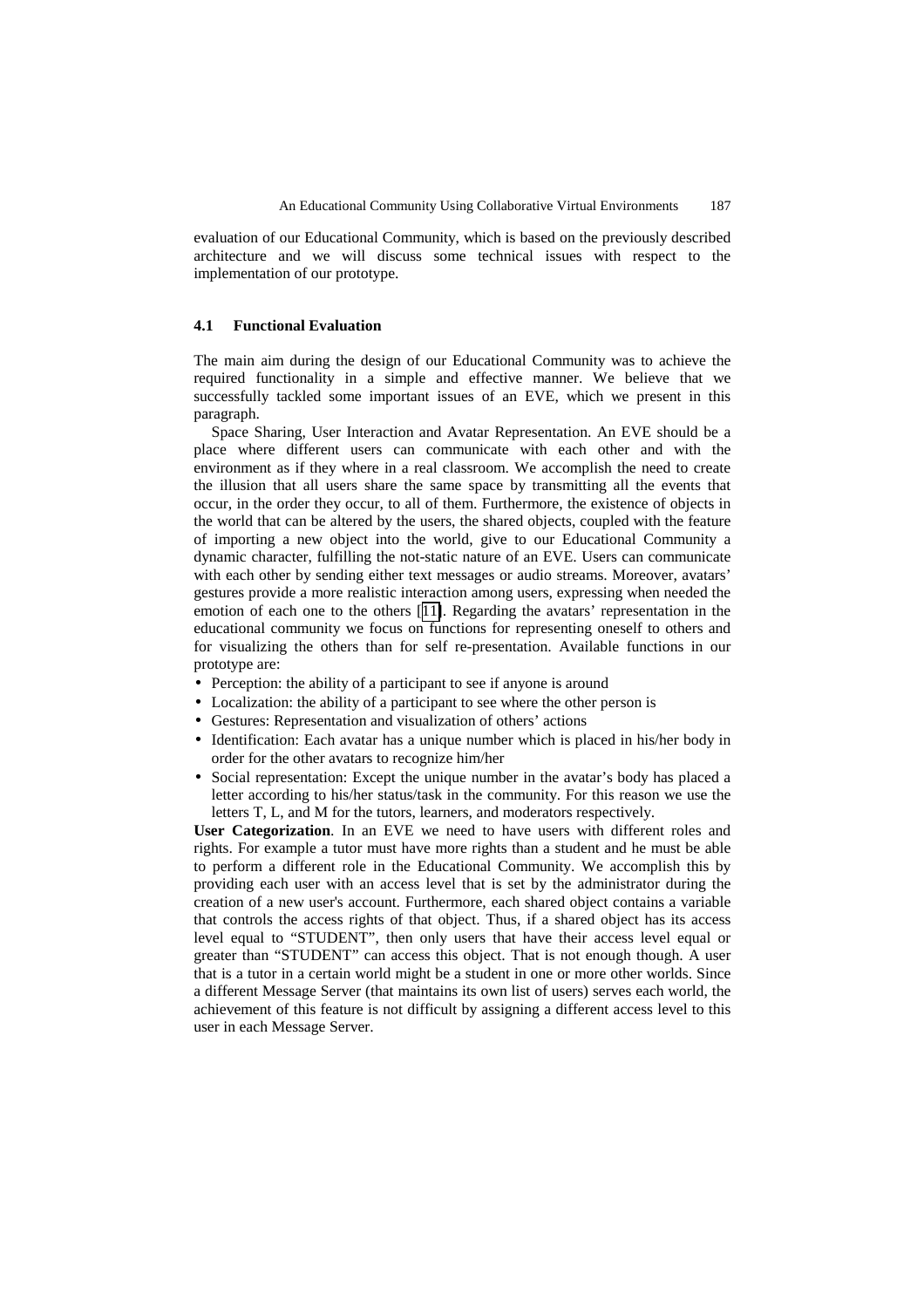evaluation of our Educational Community, which is based on the previously described architecture and we will discuss some technical issues with respect to the implementation of our prototype.

#### **4.1 Functional Evaluation**

The main aim during the design of our Educational Community was to achieve the required functionality in a simple and effective manner. We believe that we successfully tackled some important issues of an EVE, which we present in this paragraph.

Space Sharing, User Interaction and Avatar Representation. An EVE should be a place where different users can communicate with each other and with the environment as if they where in a real classroom. We accomplish the need to create the illusion that all users share the same space by transmitting all the events that occur, in the order they occur, to all of them. Furthermore, the existence of objects in the world that can be altered by the users, the shared objects, coupled with the feature of importing a new object into the world, give to our Educational Community a dynamic character, fulfilling the not-static nature of an EVE. Users can communicate with each other by sending either text messages or audio streams. Moreover, avatars' gestures provide a more realistic interaction among users, expressing when needed the emotion of each one to the others [[11\]](#page-11-0). Regarding the avatars' representation in the educational community we focus on functions for representing oneself to others and for visualizing the others than for self re-presentation. Available functions in our prototype are:

- Perception: the ability of a participant to see if anyone is around
- Localization: the ability of a participant to see where the other person is
- Gestures: Representation and visualization of others' actions
- Identification: Each avatar has a unique number which is placed in his/her body in order for the other avatars to recognize him/her
- Social representation: Except the unique number in the avatar's body has placed a letter according to his/her status/task in the community. For this reason we use the letters T, L, and M for the tutors, learners, and moderators respectively.

**User Categorization**. In an EVE we need to have users with different roles and rights. For example a tutor must have more rights than a student and he must be able to perform a different role in the Educational Community. We accomplish this by providing each user with an access level that is set by the administrator during the creation of a new user's account. Furthermore, each shared object contains a variable that controls the access rights of that object. Thus, if a shared object has its access level equal to "STUDENT", then only users that have their access level equal or greater than "STUDENT" can access this object. That is not enough though. A user that is a tutor in a certain world might be a student in one or more other worlds. Since a different Message Server (that maintains its own list of users) serves each world, the achievement of this feature is not difficult by assigning a different access level to this user in each Message Server.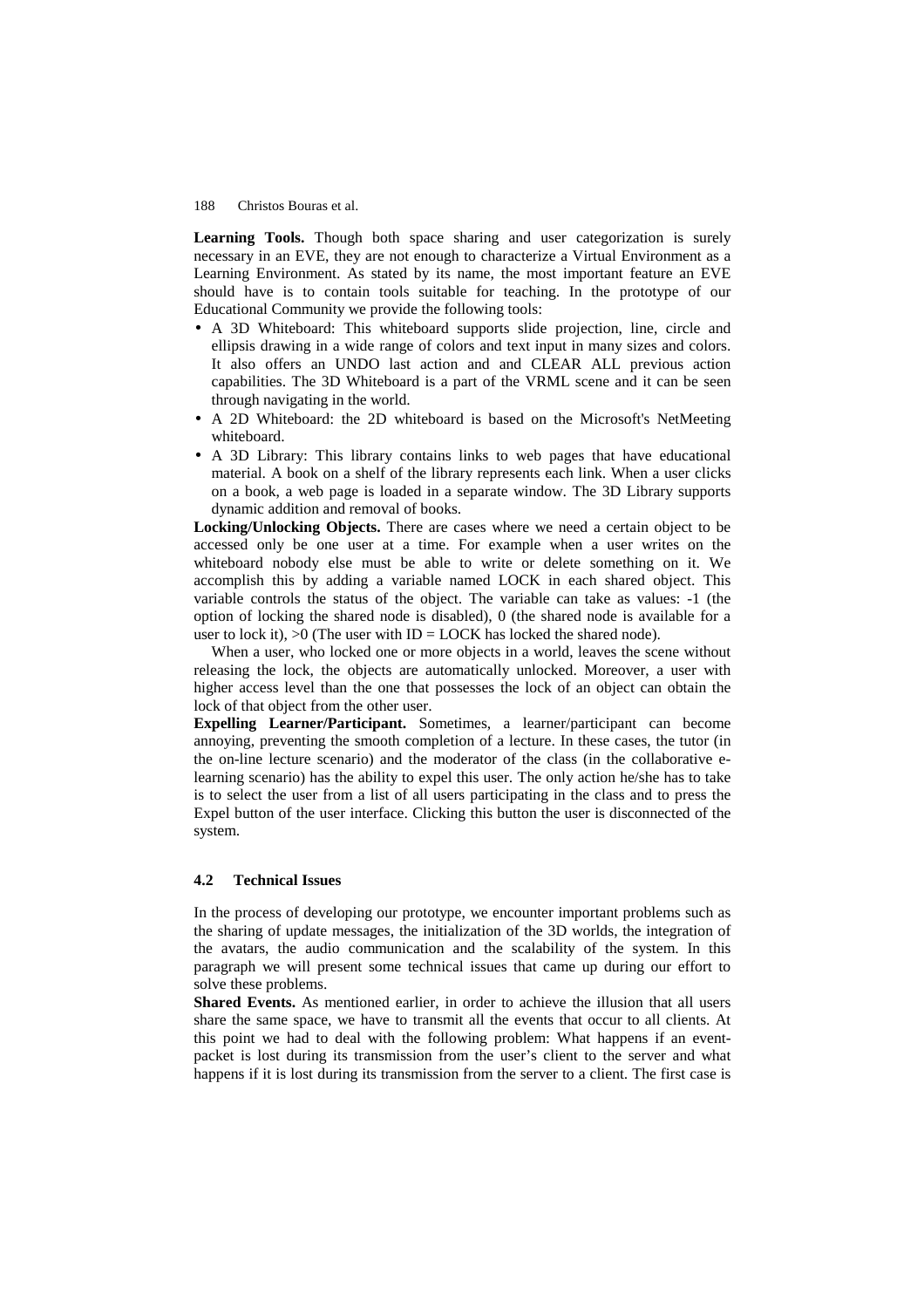**Learning Tools.** Though both space sharing and user categorization is surely necessary in an EVE, they are not enough to characterize a Virtual Environment as a Learning Environment. As stated by its name, the most important feature an EVE should have is to contain tools suitable for teaching. In the prototype of our Educational Community we provide the following tools:

- A 3D Whiteboard: This whiteboard supports slide projection, line, circle and ellipsis drawing in a wide range of colors and text input in many sizes and colors. It also offers an UNDO last action and and CLEAR ALL previous action capabilities. The 3D Whiteboard is a part of the VRML scene and it can be seen through navigating in the world.
- A 2D Whiteboard: the 2D whiteboard is based on the Microsoft's NetMeeting whiteboard.
- A 3D Library: This library contains links to web pages that have educational material. A book on a shelf of the library represents each link. When a user clicks on a book, a web page is loaded in a separate window. The 3D Library supports dynamic addition and removal of books.

**Locking/Unlocking Objects.** There are cases where we need a certain object to be accessed only be one user at a time. For example when a user writes on the whiteboard nobody else must be able to write or delete something on it. We accomplish this by adding a variable named LOCK in each shared object. This variable controls the status of the object. The variable can take as values: -1 (the option of locking the shared node is disabled), 0 (the shared node is available for a user to lock it),  $>0$  (The user with ID = LOCK has locked the shared node).

When a user, who locked one or more objects in a world, leaves the scene without releasing the lock, the objects are automatically unlocked. Moreover, a user with higher access level than the one that possesses the lock of an object can obtain the lock of that object from the other user.

**Expelling Learner/Participant.** Sometimes, a learner/participant can become annoying, preventing the smooth completion of a lecture. In these cases, the tutor (in the on-line lecture scenario) and the moderator of the class (in the collaborative elearning scenario) has the ability to expel this user. The only action he/she has to take is to select the user from a list of all users participating in the class and to press the Expel button of the user interface. Clicking this button the user is disconnected of the system.

### **4.2 Technical Issues**

In the process of developing our prototype, we encounter important problems such as the sharing of update messages, the initialization of the 3D worlds, the integration of the avatars, the audio communication and the scalability of the system. In this paragraph we will present some technical issues that came up during our effort to solve these problems.

**Shared Events.** As mentioned earlier, in order to achieve the illusion that all users share the same space, we have to transmit all the events that occur to all clients. At this point we had to deal with the following problem: What happens if an eventpacket is lost during its transmission from the user's client to the server and what happens if it is lost during its transmission from the server to a client. The first case is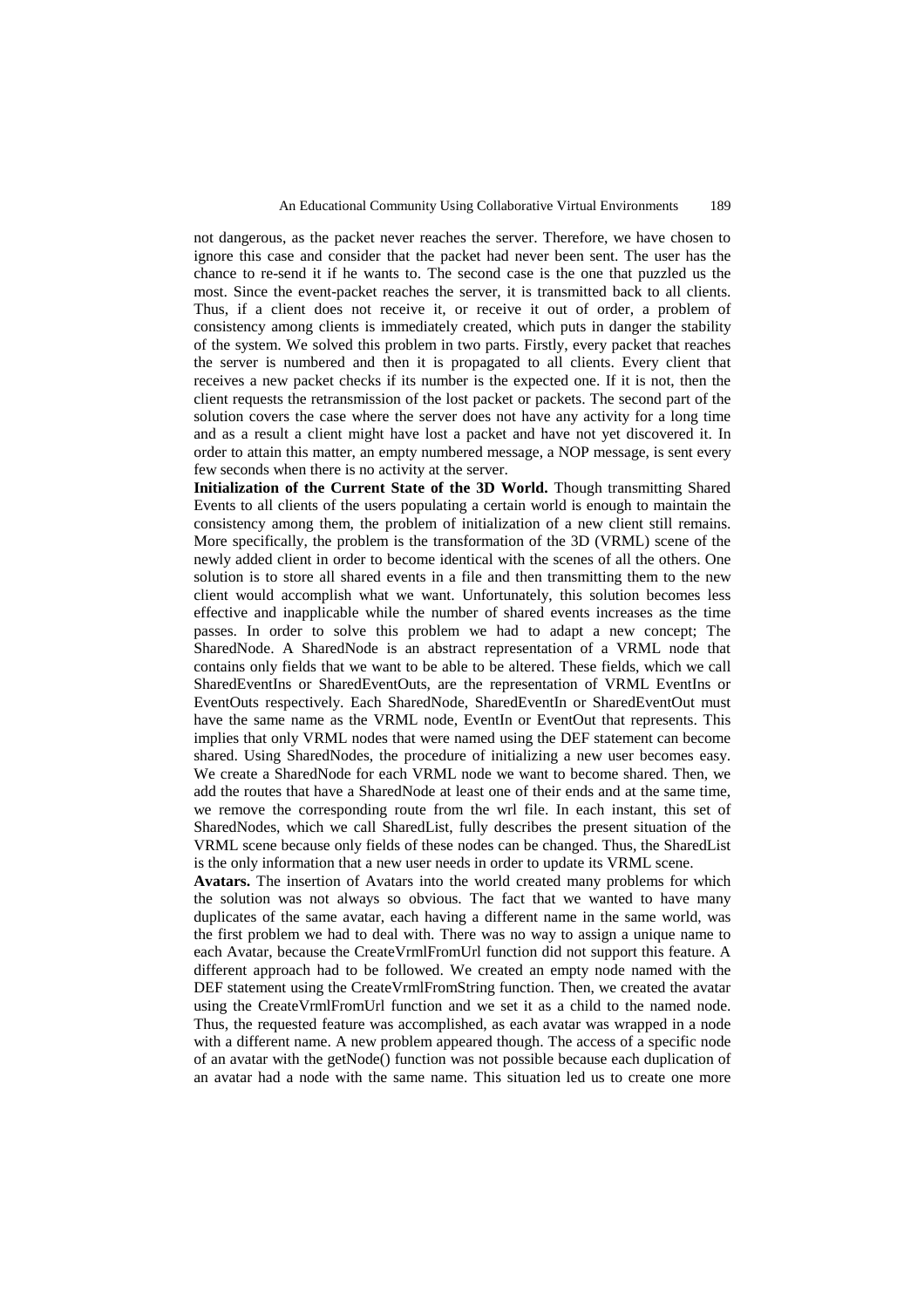not dangerous, as the packet never reaches the server. Therefore, we have chosen to ignore this case and consider that the packet had never been sent. The user has the chance to re-send it if he wants to. The second case is the one that puzzled us the most. Since the event-packet reaches the server, it is transmitted back to all clients. Thus, if a client does not receive it, or receive it out of order, a problem of consistency among clients is immediately created, which puts in danger the stability of the system. We solved this problem in two parts. Firstly, every packet that reaches the server is numbered and then it is propagated to all clients. Every client that receives a new packet checks if its number is the expected one. If it is not, then the client requests the retransmission of the lost packet or packets. The second part of the solution covers the case where the server does not have any activity for a long time and as a result a client might have lost a packet and have not yet discovered it. In order to attain this matter, an empty numbered message, a NOP message, is sent every few seconds when there is no activity at the server.

**Initialization of the Current State of the 3D World.** Though transmitting Shared Events to all clients of the users populating a certain world is enough to maintain the consistency among them, the problem of initialization of a new client still remains. More specifically, the problem is the transformation of the 3D (VRML) scene of the newly added client in order to become identical with the scenes of all the others. One solution is to store all shared events in a file and then transmitting them to the new client would accomplish what we want. Unfortunately, this solution becomes less effective and inapplicable while the number of shared events increases as the time passes. In order to solve this problem we had to adapt a new concept; The SharedNode. A SharedNode is an abstract representation of a VRML node that contains only fields that we want to be able to be altered. These fields, which we call SharedEventIns or SharedEventOuts, are the representation of VRML EventIns or EventOuts respectively. Each SharedNode, SharedEventIn or SharedEventOut must have the same name as the VRML node, EventIn or EventOut that represents. This implies that only VRML nodes that were named using the DEF statement can become shared. Using SharedNodes, the procedure of initializing a new user becomes easy. We create a SharedNode for each VRML node we want to become shared. Then, we add the routes that have a SharedNode at least one of their ends and at the same time, we remove the corresponding route from the wrl file. In each instant, this set of SharedNodes, which we call SharedList, fully describes the present situation of the VRML scene because only fields of these nodes can be changed. Thus, the SharedList is the only information that a new user needs in order to update its VRML scene.

**Avatars.** The insertion of Avatars into the world created many problems for which the solution was not always so obvious. The fact that we wanted to have many duplicates of the same avatar, each having a different name in the same world, was the first problem we had to deal with. There was no way to assign a unique name to each Avatar, because the CreateVrmlFromUrl function did not support this feature. A different approach had to be followed. We created an empty node named with the DEF statement using the CreateVrmlFromString function. Then, we created the avatar using the CreateVrmlFromUrl function and we set it as a child to the named node. Thus, the requested feature was accomplished, as each avatar was wrapped in a node with a different name. A new problem appeared though. The access of a specific node of an avatar with the getNode() function was not possible because each duplication of an avatar had a node with the same name. This situation led us to create one more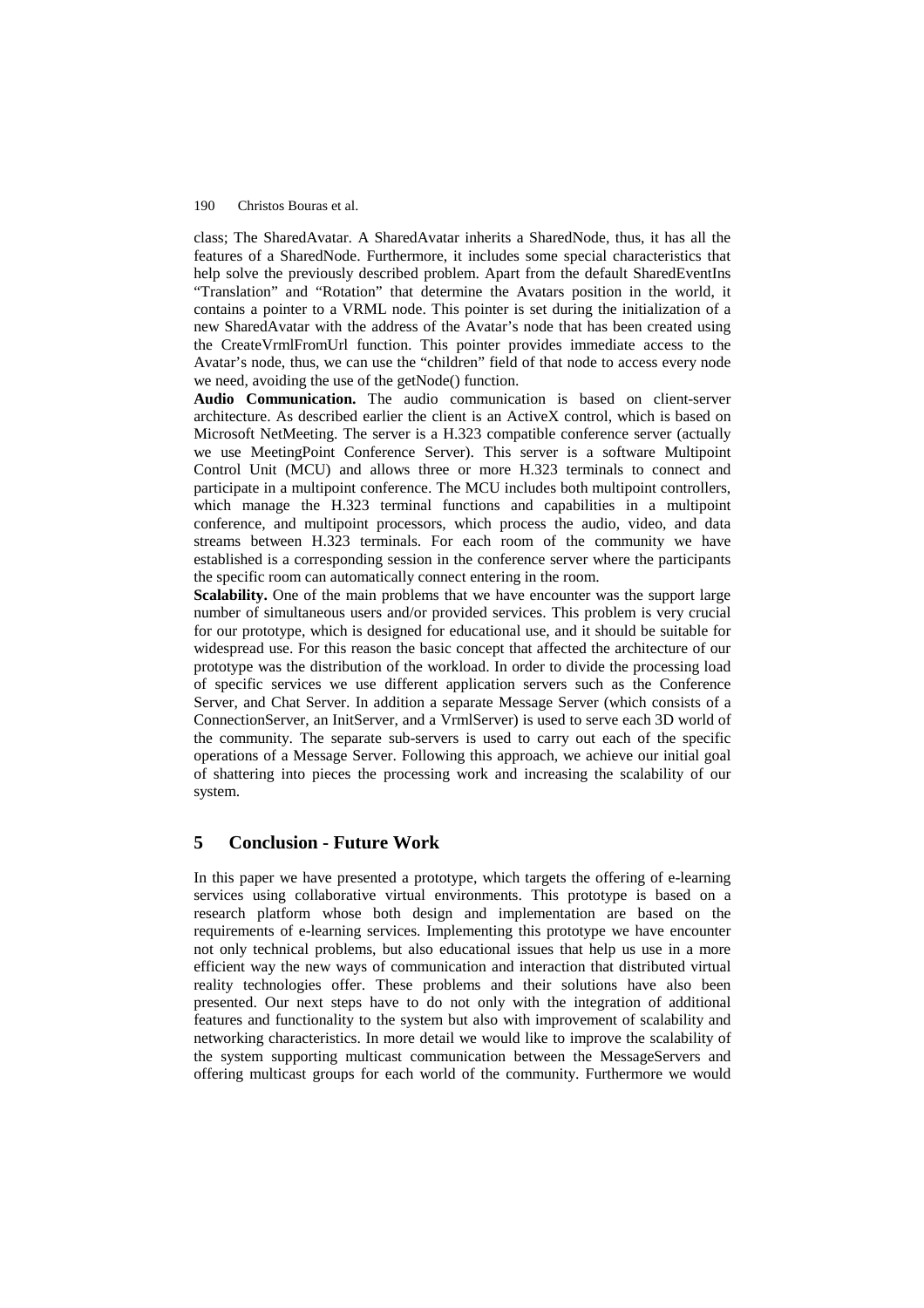class; The SharedAvatar. A SharedAvatar inherits a SharedNode, thus, it has all the features of a SharedNode. Furthermore, it includes some special characteristics that help solve the previously described problem. Apart from the default SharedEventIns "Translation" and "Rotation" that determine the Avatars position in the world, it contains a pointer to a VRML node. This pointer is set during the initialization of a new SharedAvatar with the address of the Avatar's node that has been created using the CreateVrmlFromUrl function. This pointer provides immediate access to the Avatar's node, thus, we can use the "children" field of that node to access every node we need, avoiding the use of the getNode() function.

**Audio Communication.** The audio communication is based on client-server architecture. As described earlier the client is an ActiveX control, which is based on Microsoft NetMeeting. The server is a H.323 compatible conference server (actually we use MeetingPoint Conference Server). This server is a software Multipoint Control Unit (MCU) and allows three or more H.323 terminals to connect and participate in a multipoint conference. The MCU includes both multipoint controllers, which manage the H.323 terminal functions and capabilities in a multipoint conference, and multipoint processors, which process the audio, video, and data streams between H.323 terminals. For each room of the community we have established is a corresponding session in the conference server where the participants the specific room can automatically connect entering in the room.

**Scalability.** One of the main problems that we have encounter was the support large number of simultaneous users and/or provided services. This problem is very crucial for our prototype, which is designed for educational use, and it should be suitable for widespread use. For this reason the basic concept that affected the architecture of our prototype was the distribution of the workload. In order to divide the processing load of specific services we use different application servers such as the Conference Server, and Chat Server. In addition a separate Message Server (which consists of a ConnectionServer, an InitServer, and a VrmlServer) is used to serve each 3D world of the community. The separate sub-servers is used to carry out each of the specific operations of a Message Server. Following this approach, we achieve our initial goal of shattering into pieces the processing work and increasing the scalability of our system.

# **5 Conclusion - Future Work**

In this paper we have presented a prototype, which targets the offering of e-learning services using collaborative virtual environments. This prototype is based on a research platform whose both design and implementation are based on the requirements of e-learning services. Implementing this prototype we have encounter not only technical problems, but also educational issues that help us use in a more efficient way the new ways of communication and interaction that distributed virtual reality technologies offer. These problems and their solutions have also been presented. Our next steps have to do not only with the integration of additional features and functionality to the system but also with improvement of scalability and networking characteristics. In more detail we would like to improve the scalability of the system supporting multicast communication between the MessageServers and offering multicast groups for each world of the community. Furthermore we would